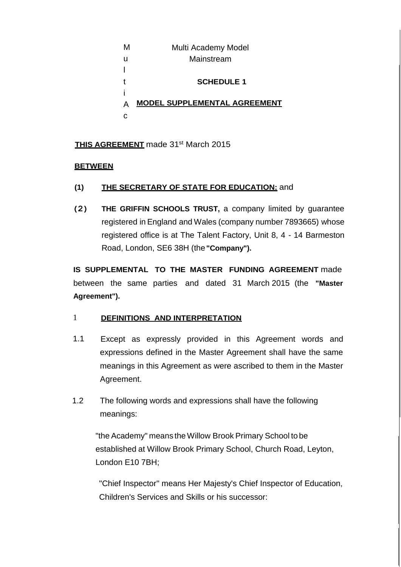| м | Multi Academy Model                 |
|---|-------------------------------------|
| u | Mainstream                          |
|   |                                     |
|   | <b>SCHEDULE 1</b>                   |
|   |                                     |
|   | <b>MODEL SUPPLEMENTAL AGREEMENT</b> |
|   |                                     |
|   |                                     |

## **THIS AGREEMENT** made 31<sup>st</sup> March 2015

### **BETWEEN**

- **(1) THE SECRETARY OF STATE FOR EDUCATION:** and
- **(2) THE GRIFFIN SCHOOLS TRUST,** a company limited by guarantee registered in England and Wales (company number 7893665) whose registered office is at The Talent Factory, Unit 8, 4 - 14 Barmeston Road, London, SE6 38H (the **"Company").**

**IS SUPPLEMENTAL TO THE MASTER FUNDING AGREEMENT** made between the same parties and dated 31 March 2015 (the **"Master Agreement").**

#### 1 **DEFINITIONS AND INTERPRETATION**

- 1.1 Except as expressly provided in this Agreement words and expressions defined in the Master Agreement shall have the same meanings in this Agreement as were ascribed to them in the Master Agreement.
- 1.2 The following words and expressions shall have the following meanings:

"the Academy" means theWillow Brook Primary School to be established at Willow Brook Primary School, Church Road, Leyton, London E10 7BH;

"Chief Inspector'' means Her Majesty's Chief Inspector of Education, Children's Services and Skills or his successor: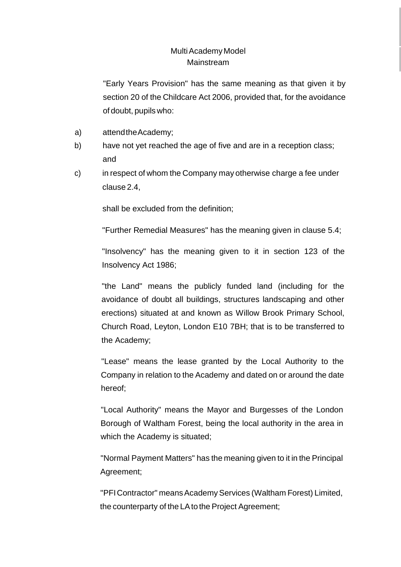"Early Years Provision" has the same meaning as that given it by section 20 of the Childcare Act 2006, provided that, for the avoidance of doubt, pupils who:

- a) attendtheAcademy;
- b) have not yet reached the age of five and are in a reception class; and
- c) in respect of whom the Company may otherwise charge a fee under clause 2.4,

shall be excluded from the definition;

"Further Remedial Measures" has the meaning given in clause 5.4;

"Insolvency" has the meaning given to it in section 123 of the Insolvency Act 1986;

"the Land" means the publicly funded land (including for the avoidance of doubt all buildings, structures landscaping and other erections) situated at and known as Willow Brook Primary School, Church Road, Leyton, London E10 7BH; that is to be transferred to the Academy;

"Lease" means the lease granted by the Local Authority to the Company in relation to the Academy and dated on or around the date hereof;

"Local Authority" means the Mayor and Burgesses of the London Borough of Waltham Forest, being the local authority in the area in which the Academy is situated;

"Normal Payment Matters" has the meaning given to it in the Principal Agreement;

"PFI Contractor" means Academy Services (Waltham Forest) Limited, the counterparty of the LA to the Project Agreement;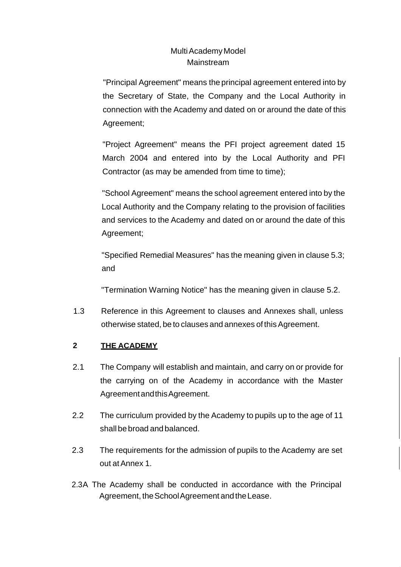"Principal Agreement" means the principal agreement entered into by the Secretary of State, the Company and the Local Authority in connection with the Academy and dated on or around the date of this Agreement;

"Project Agreement" means the PFI project agreement dated 15 March 2004 and entered into by the Local Authority and PFI Contractor (as may be amended from time to time);

"School Agreement" means the school agreement entered into by the Local Authority and the Company relating to the provision of facilities and services to the Academy and dated on or around the date of this Agreement;

"Specified Remedial Measures" has the meaning given in clause 5.3; and

"Termination Warning Notice" has the meaning given in clause 5.2.

1.3 Reference in this Agreement to clauses and Annexes shall, unless otherwise stated, be to clauses and annexes of this Agreement.

## **2 THE ACADEMY**

- 2.1 The Company will establish and maintain, and carry on or provide for the carrying on of the Academy in accordance with the Master AgreementandthisAgreement.
- 2.2 The curriculum provided by the Academy to pupils up to the age of 11 shall bebroad and balanced.
- 2.3 The requirements for the admission of pupils to the Academy are set out atAnnex 1.
- 2.3A The Academy shall be conducted in accordance with the Principal Agreement, the School Agreement and the Lease.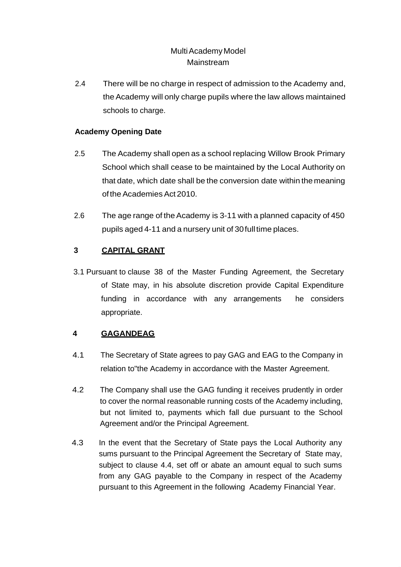2.4 There will be no charge in respect of admission to the Academy and, the Academy will only charge pupils where the law allows maintained schools to charge.

## **Academy Opening Date**

- 2.5 The Academy shall open as a school replacing Willow Brook Primary School which shall cease to be maintained by the Local Authority on that date, which date shall be the conversion date within the meaning of the Academies Act 2010.
- 2.6 The age range of the Academy is 3-11 with a planned capacity of 450 pupils aged 4-11 and a nursery unit of 30 full time places.

## **3 CAPITAL GRANT**

3.1 Pursuant to clause 38 of the Master Funding Agreement, the Secretary of State may, in his absolute discretion provide Capital Expenditure funding in accordance with any arrangements he considers appropriate.

## **4 GAGANDEAG**

- 4.1 The Secretary of State agrees to pay GAG and EAG to the Company in relation to"the Academy in accordance with the Master Agreement.
- 4.2 The Company shall use the GAG funding it receives prudently in order to cover the normal reasonable running costs of the Academy including, but not limited to, payments which fall due pursuant to the School Agreement and/or the Principal Agreement.
- 4.3 In the event that the Secretary of State pays the Local Authority any sums pursuant to the Principal Agreement the Secretary of State may, subject to clause 4.4, set off or abate an amount equal to such sums from any GAG payable to the Company in respect of the Academy pursuant to this Agreement in the following Academy Financial Year.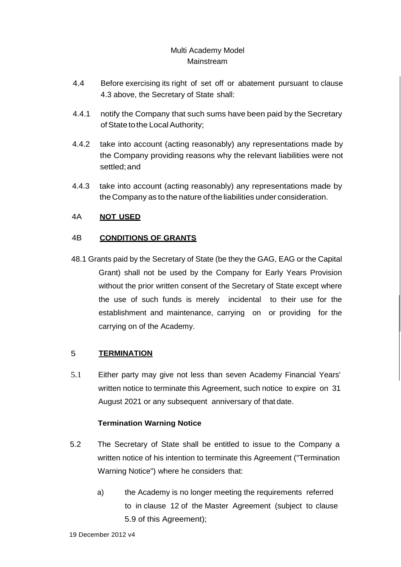- 4.4 Before exercising its right of set off or abatement pursuant to clause 4.3 above, the Secretary of State shall:
- 4.4.1 notify the Company that such sums have been paid by the Secretary of State to the Local Authority;
- 4.4.2 take into account (acting reasonably) any representations made by the Company providing reasons why the relevant liabilities were not settled;and
- 4.4.3 take into account (acting reasonably) any representations made by theCompany as to the nature ofthe liabilities under consideration.

## 4A **NOT USED**

### 4B **CONDITIONS OF GRANTS**

48.1 Grants paid by the Secretary of State (be they the GAG, EAG or the Capital Grant) shall not be used by the Company for Early Years Provision without the prior written consent of the Secretary of State except where the use of such funds is merely incidental to their use for the establishment and maintenance, carrying on or providing for the carrying on of the Academy.

#### 5 **TERMINATION**

5.1 Either party may give not less than seven Academy Financial Years' written notice to terminate this Agreement, such notice to expire on 31 August 2021 or any subsequent anniversary of that date.

### **Termination Warning Notice**

- 5.2 The Secretary of State shall be entitled to issue to the Company a written notice of his intention to terminate this Agreement ("Termination Warning Notice") where he considers that:
	- a) the Academy is no longer meeting the requirements referred to in clause 12 of the Master Agreement (subject to clause 5.9 of this Agreement);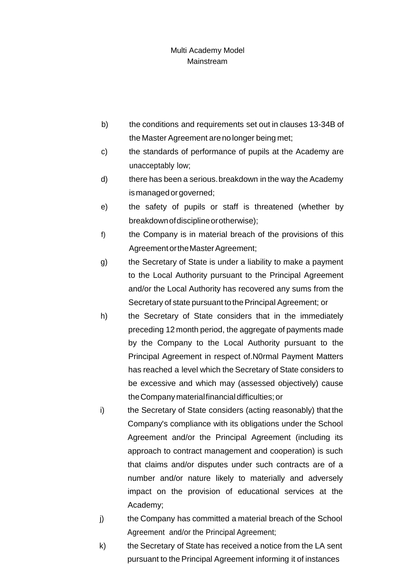- b) the conditions and requirements set out in clauses 13-34B of the Master Agreement are no longer being met;
- c) the standards of performance of pupils at the Academy are unacceptably low;
- d) there has been a serious.breakdown in the way the Academy ismanagedorgoverned;
- e) the safety of pupils or staff is threatened (whether by breakdown of discipline or otherwise);
- f) the Company is in material breach of the provisions of this Agreement or the Master Agreement;
- g) the Secretary of State is under a liability to make a payment to the Local Authority pursuant to the Principal Agreement and/or the Local Authority has recovered any sums from the Secretary of state pursuant to the Principal Agreement; or
- h) the Secretary of State considers that in the immediately preceding 12 month period, the aggregate of payments made by the Company to the Local Authority pursuant to the Principal Agreement in respect of.N0rmal Payment Matters has reached a level which the Secretary of State considers to be excessive and which may (assessed objectively) cause theCompany materialfinancial difficulties; or
- i) the Secretary of State considers (acting reasonably) that the Company's compliance with its obligations under the School Agreement and/or the Principal Agreement (including its approach to contract management and cooperation) is such that claims and/or disputes under such contracts are of a number and/or nature likely to materially and adversely impact on the provision of educational services at the Academy;
- j) the Company has committed a material breach of the School Agreement and/or the Principal Agreement;
- k) the Secretary of State has received a notice from the LA sent pursuant to the Principal Agreement informing it of instances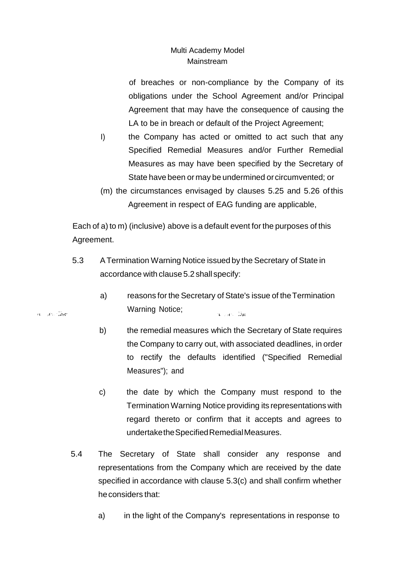of breaches or non-compliance by the Company of its obligations under the School Agreement and/or Principal Agreement that may have the consequence of causing the LA to be in breach or default of the Project Agreement;

- I) the Company has acted or omitted to act such that any Specified Remedial Measures and/or Further Remedial Measures as may have been specified by the Secretary of State have been or may be undermined or circumvented; or
- (m) the circumstances envisaged by clauses 5.25 and 5.26 of this Agreement in respect of EAG funding are applicable,

Each of a) to m) (inclusive) above is a default event for the purposes of this Agreement.

- 5.3 ATermination Warning Notice issued by the Secretary of State in accordance with clause 5.2 shall specify:
	- a) reasons for the Secretary of State's issue of theTermination Warning Notice; a lors Ba
	- b) the remedial measures which the Secretary of State requires the Company to carry out, with associated deadlines, in order to rectify the defaults identified ("Specified Remedial Measures"); and
	- c) the date by which the Company must respond to the Termination Warning Notice providing its representations with regard thereto or confirm that it accepts and agrees to undertaketheSpecifiedRemedialMeasures.
- 5.4 The Secretary of State shall consider any response and representations from the Company which are received by the date specified in accordance with clause 5.3(c) and shall confirm whether heconsiders that:
	- a) in the light of the Company's representations in response to

ne an Sar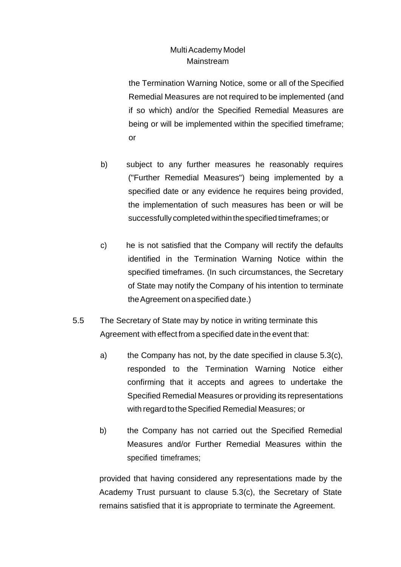the Termination Warning Notice, some or all of the Specified Remedial Measures are not required to be implemented (and if so which) and/or the Specified Remedial Measures are being or will be implemented within the specified timeframe; or

- b) subject to any further measures he reasonably requires ("Further Remedial Measures") being implemented by a specified date or any evidence he requires being provided, the implementation of such measures has been or will be successfully completed within the specified timeframes; or
- c) he is not satisfied that the Company will rectify the defaults identified in the Termination Warning Notice within the specified timeframes. (In such circumstances, the Secretary of State may notify the Company of his intention to terminate theAgreement onaspecified date.)
- 5.5 The Secretary of State may by notice in writing terminate this Agreement with effect from a specified date in the event that:
	- a) the Company has not, by the date specified in clause 5.3(c), responded to the Termination Warning Notice either confirming that it accepts and agrees to undertake the Specified Remedial Measures or providing its representations with regard to the Specified Remedial Measures; or
	- b) the Company has not carried out the Specified Remedial Measures and/or Further Remedial Measures within the specified timeframes;

provided that having considered any representations made by the Academy Trust pursuant to clause 5.3(c), the Secretary of State remains satisfied that it is appropriate to terminate the Agreement.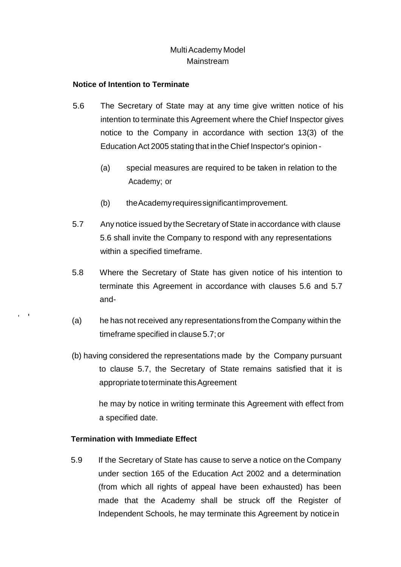#### **Notice of Intention to Terminate**

- 5.6 The Secretary of State may at any time give written notice of his intention to terminate this Agreement where the Chief Inspector gives notice to the Company in accordance with section 13(3) of the Education Act 2005 stating that inthe Chief Inspector's opinion -
	- (a) special measures are required to be taken in relation to the Academy; or
	- (b) theAcademyrequiressignificantimprovement.
- 5.7 Any notice issued by the Secretary of State in accordance with clause 5.6 shall invite the Company to respond with any representations within a specified timeframe.
- 5.8 Where the Secretary of State has given notice of his intention to terminate this Agreement in accordance with clauses 5.6 and 5.7 and-
- (a) he has not received any representationsfrom the Company within the timeframe specified in clause 5.7;or
- (b) having considered the representations made by the Company pursuant to clause 5.7, the Secretary of State remains satisfied that it is appropriate toterminate thisAgreement

he may by notice in writing terminate this Agreement with effect from a specified date.

### **Termination with Immediate Effect**

' $\blacksquare$ 

> 5.9 If the Secretary of State has cause to serve a notice on the Company under section 165 of the Education Act 2002 and a determination (from which all rights of appeal have been exhausted) has been made that the Academy shall be struck off the Register of Independent Schools, he may terminate this Agreement by noticein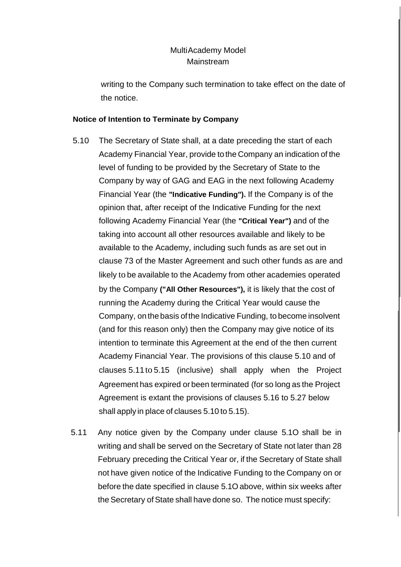writing to the Company such termination to take effect on the date of the notice.

#### **Notice of Intention to Terminate by Company**

- 5.10 The Secretary of State shall, at a date preceding the start of each Academy Financial Year, provide to the Company an indication of the level of funding to be provided by the Secretary of State to the Company by way of GAG and EAG in the next following Academy Financial Year (the **"Indicative Funding").** If the Company is of the opinion that, after receipt of the Indicative Funding for the next following Academy Financial Year (the **"Critical Year")** and of the taking into account all other resources available and likely to be available to the Academy, including such funds as are set out in clause 73 of the Master Agreement and such other funds as are and likely to be available to the Academy from other academies operated by the Company **("All Other Resources"),** it is likely that the cost of running the Academy during the Critical Year would cause the Company, on the basis ofthe Indicative Funding, to become insolvent (and for this reason only) then the Company may give notice of its intention to terminate this Agreement at the end of the then current Academy Financial Year. The provisions of this clause 5.10 and of clauses 5.11to 5.15 (inclusive) shall apply when the Project Agreement has expired or been terminated (for so long as the Project Agreement is extant the provisions of clauses 5.16 to 5.27 below shall apply in place of clauses 5.10 to 5.15).
- 5.11 Any notice given by the Company under clause 5.1O shall be in writing and shall be served on the Secretary of State not later than 28 February preceding the Critical Year or, if the Secretary of State shall not have given notice of the Indicative Funding to the Company on or before the date specified in clause 5.1O above, within six weeks after the Secretary of State shall have done so. The notice must specify: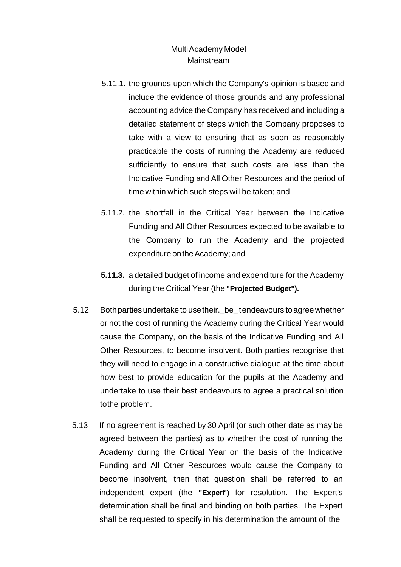- 5.11.1. the grounds upon which the Company's opinion is based and include the evidence of those grounds and any professional accounting advice the Company has received and including a detailed statement of steps which the Company proposes to take with a view to ensuring that as soon as reasonably practicable the costs of running the Academy are reduced sufficiently to ensure that such costs are less than the Indicative Funding and All Other Resources and the period of time within which such steps will be taken; and
- 5.11.2. the shortfall in the Critical Year between the Indicative Funding and All Other Resources expected to be available to the Company to run the Academy and the projected expenditure on the Academy; and
- **5.11.3.** a detailed budget of income and expenditure for the Academy during the Critical Year (the **"Projected Budget").**
- 5.12 Both parties undertake to use their. be tendeavours to agree whether or not the cost of running the Academy during the Critical Year would cause the Company, on the basis of the Indicative Funding and All Other Resources, to become insolvent. Both parties recognise that they will need to engage in a constructive dialogue at the time about how best to provide education for the pupils at the Academy and undertake to use their best endeavours to agree a practical solution tothe problem.
- 5.13 If no agreement is reached by 30 April (or such other date as may be agreed between the parties) as to whether the cost of running the Academy during the Critical Year on the basis of the Indicative Funding and All Other Resources would cause the Company to become insolvent, then that question shall be referred to an independent expert (the **"Experf')** for resolution. The Expert's determination shall be final and binding on both parties. The Expert shall be requested to specify in his determination the amount of the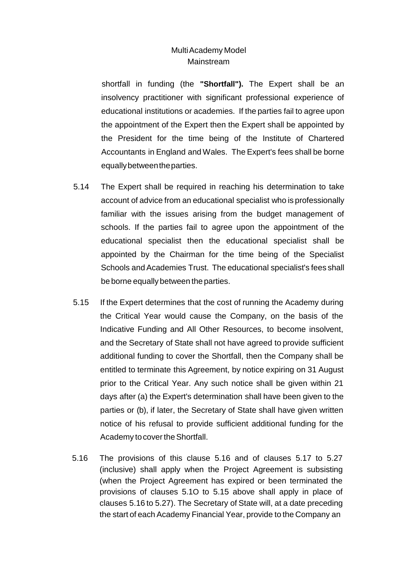shortfall in funding (the **"Shortfall").** The Expert shall be an insolvency practitioner with significant professional experience of educational institutions or academies. If the parties fail to agree upon the appointment of the Expert then the Expert shall be appointed by the President for the time being of the Institute of Chartered Accountants in England and Wales. The Expert's fees shall be borne equallybetweentheparties.

- 5.14 The Expert shall be required in reaching his determination to take account of advice from an educational specialist who is professionally familiar with the issues arising from the budget management of schools. If the parties fail to agree upon the appointment of the educational specialist then the educational specialist shall be appointed by the Chairman for the time being of the Specialist Schools and Academies Trust. The educational specialist's fees shall be borne equally between the parties.
- 5.15 If the Expert determines that the cost of running the Academy during the Critical Year would cause the Company, on the basis of the Indicative Funding and All Other Resources, to become insolvent, and the Secretary of State shall not have agreed to provide sufficient additional funding to cover the Shortfall, then the Company shall be entitled to terminate this Agreement, by notice expiring on 31 August prior to the Critical Year. Any such notice shall be given within 21 days after (a) the Expert's determination shall have been given to the parties or (b), if later, the Secretary of State shall have given written notice of his refusal to provide sufficient additional funding for the Academy to cover the Shortfall.
- 5.16 The provisions of this clause 5.16 and of clauses 5.17 to 5.27 (inclusive) shall apply when the Project Agreement is subsisting (when the Project Agreement has expired or been terminated the provisions of clauses 5.1O to 5.15 above shall apply in place of clauses 5.16 to 5.27). The Secretary of State will, at a date preceding the start of each Academy Financial Year, provide to the Company an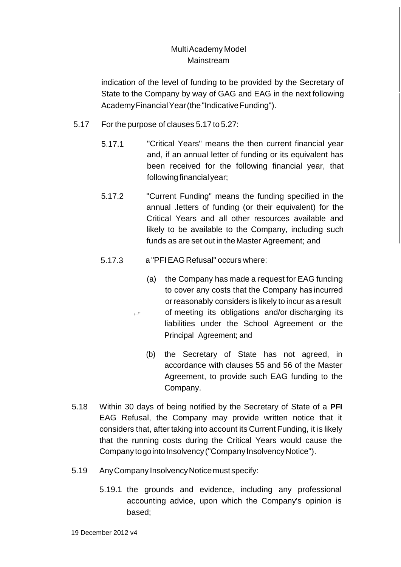indication of the level of funding to be provided by the Secretary of State to the Company by way of GAG and EAG in the next following Academy Financial Year (the "Indicative Funding").

- 5.17 For the purpose of clauses 5.17 to 5.27:
	- 5.17.1 "Critical Years" means the then current financial year and, if an annual letter of funding or its equivalent has been received for the following financial year, that following financial year;
	- 5.17.2 "Current Funding" means the funding specified in the annual .letters of funding (or their equivalent) for the Critical Years and all other resources available and likely to be available to the Company, including such funds as are set out in theMaster Agreement; and
	- 5.17.3 a "PFIEAGRefusal" occurs where:
		- (a) the Company has made a request for EAG funding to cover any costs that the Company has incurred orreasonably considers is likely to incur as a result of meeting its obligations and/or discharging its liabilities under the School Agreement or the Principal Agreement; and
			- (b) the Secretary of State has not agreed, in accordance with clauses 55 and 56 of the Master Agreement, to provide such EAG funding to the Company.
- 5.18 Within 30 days of being notified by the Secretary of State of a **PFI**  EAG Refusal, the Company may provide written notice that it considers that, after taking into account its Current Funding, it is likely that the running costs during the Critical Years would cause the Company to go into Insolvency ("Company Insolvency Notice").
- 5.19 AnyCompany InsolvencyNoticemust specify:
	- 5.19.1 the grounds and evidence, including any professional accounting advice, upon which the Company's opinion is based;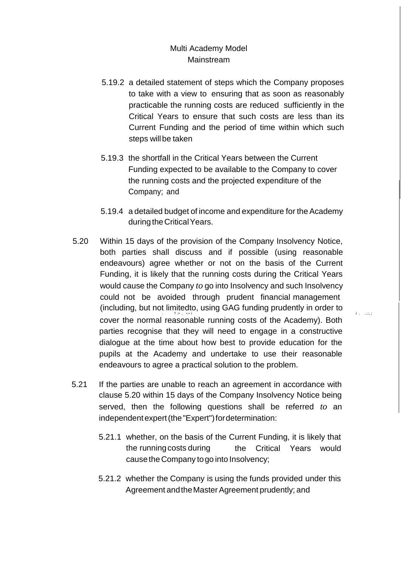- 5.19.2 a detailed statement of steps which the Company proposes to take with a view to ensuring that as soon as reasonably practicable the running costs are reduced sufficiently in the Critical Years to ensure that such costs are less than its Current Funding and the period of time within which such steps will be taken
- 5.19.3 the shortfall in the Critical Years between the Current Funding expected to be available to the Company to cover the running costs and the projected expenditure of the Company; and
- 5.19.4 a detailed budget of income and expenditure for the Academy during the Critical Years.
- 5.20 Within 15 days of the provision of the Company Insolvency Notice, both parties shall discuss and if possible (using reasonable endeavours) agree whether or not on the basis of the Current Funding, it is likely that the running costs during the Critical Years would cause the Company *to* go into Insolvency and such Insolvency could not be avoided through prudent financial management (including, but not limitedto, using GAG funding prudently in order to . *'!* .> , •.• *i i* . *..:, ;* cover the normal reasonable running costs of the Academy). Both parties recognise that they will need to engage in a constructive dialogue at the time about how best to provide education for the pupils at the Academy and undertake to use their reasonable endeavours to agree a practical solution to the problem.
- 5.21 If the parties are unable to reach an agreement in accordance with clause 5.20 within 15 days of the Company Insolvency Notice being served, then the following questions shall be referred *to* an independentexpert(the "Expert") for determination:
	- 5.21.1 whether, on the basis of the Current Funding, it is likely that the running costs during the Critical Years would cause the Company to go into Insolvency;
	- 5.21.2 whether the Company is using the funds provided under this Agreement and the Master Agreement prudently; and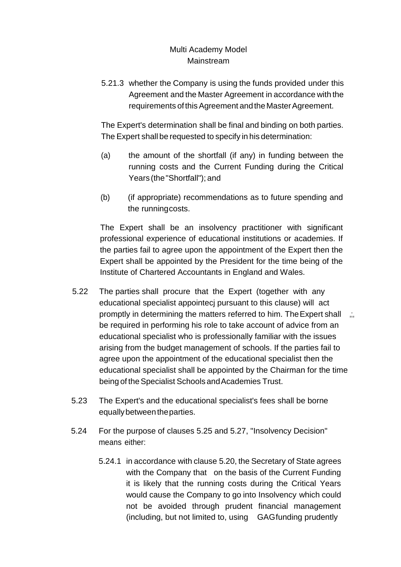5.21.3 whether the Company is using the funds provided under this Agreement and the Master Agreement in accordance with the requirements of this Agreement and the Master Agreement.

The Expert's determination shall be final and binding on both parties. The Expert shall be requested to specify in his determination:

- (a) the amount of the shortfall (if any) in funding between the running costs and the Current Funding during the Critical Years (the"Shortfall"); and
- (b) (if appropriate) recommendations as to future spending and the runningcosts.

The Expert shall be an insolvency practitioner with significant professional experience of educational institutions or academies. If the parties fail to agree upon the appointment of the Expert then the Expert shall be appointed by the President for the time being of the Institute of Chartered Accountants in England and Wales.

- 5.22 The parties shall procure that the Expert (together with any educational specialist appointecj pursuant to this clause) will act promptly in determining the matters referred to him. The Expert shall  $\ldots$ be required in performing his role to take account of advice from an educational specialist who is professionally familiar with the issues arising from the budget management of schools. If the parties fail to agree upon the appointment of the educational specialist then the educational specialist shall be appointed by the Chairman for the time being of the Specialist Schools and Academies Trust.
- 5.23 The Expert's and the educational specialist's fees shall be borne equallybetweentheparties.
- 5.24 For the purpose of clauses 5.25 and 5.27, "Insolvency Decision" means either:
	- 5.24.1 in accordance with clause 5.20, the Secretary of State agrees with the Company that on the basis of the Current Funding it is likely that the running costs during the Critical Years would cause the Company to go into Insolvency which could not be avoided through prudent financial management (including, but not limited to, using GAGfunding prudently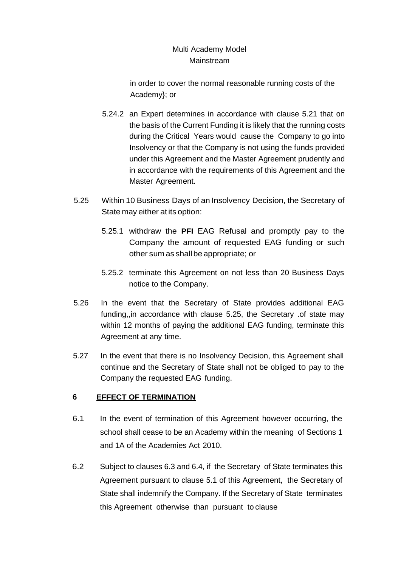in order to cover the normal reasonable running costs of the Academy}; or

- 5.24.2 an Expert determines in accordance with clause 5.21 that on the basis of the Current Funding it is likely that the running costs during the Critical Years would cause the Company to go into Insolvency or that the Company is not using the funds provided under this Agreement and the Master Agreement prudently and in accordance with the requirements of this Agreement and the Master Agreement.
- 5.25 Within 10 Business Days of an Insolvency Decision, the Secretary of State may either at its option:
	- 5.25.1 withdraw the **PFI** EAG Refusal and promptly pay to the Company the amount of requested EAG funding or such other sum as shallbe appropriate; or
	- 5.25.2 terminate this Agreement on not less than 20 Business Days notice to the Company.
- 5.26 In the event that the Secretary of State provides additional EAG funding,,in accordance with clause 5.25, the Secretary .of state may within 12 months of paying the additional EAG funding, terminate this Agreement at any time.
- 5.27 In the event that there is no Insolvency Decision, this Agreement shall continue and the Secretary of State shall not be obliged to pay to the Company the requested EAG funding.

## **6 EFFECT OF TERMINATION**

- 6.1 In the event of termination of this Agreement however occurring, the school shall cease to be an Academy within the meaning of Sections 1 and 1A of the Academies Act 2010.
- 6.2 Subject to clauses 6.3 and 6.4, if the Secretary of State terminates this Agreement pursuant to clause 5.1 of this Agreement, the Secretary of State shall indemnify the Company. If the Secretary of State terminates this Agreement otherwise than pursuant to clause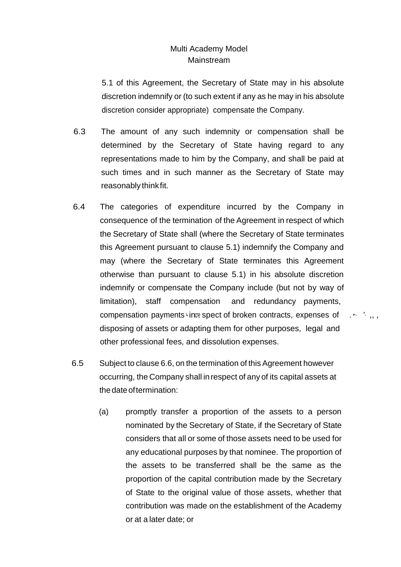5.1 of this Agreement, the Secretary of State may in his absolute discretion indemnify or (to such extent if any as he may in his absolute discretion consider appropriate) compensate the Company.

- 6.3 The amount of any such indemnity or compensation shall be determined by the Secretary of State having regard to any representations made to him by the Company, and shall be paid at such times and in such manner as the Secretary of State may reasonably thinkfit.
- 6.4 The categories of expenditure incurred by the Company in consequence of the termination of the Agreement in respect of which the Secretary of State shall (where the Secretary of State terminates this Agreement pursuant to clause 5.1) indemnify the Company and may (where the Secretary of State terminates this Agreement otherwise than pursuant to clause 5.1) in his absolute discretion indemnify or compensate the Company include (but not by way of limitation), staff compensation and redundancy payments, compensation payments incress pect of broken contracts, expenses of  $\cdots$ ,  $\cdots$ disposing of assets or adapting them for other purposes, legal and other professional fees, and dissolution expenses.
- 6.5 Subject to clause 6.6, on the termination of this Agreement however occurring, the Company shall inrespect of any of its capital assets at thedateoftermination:
	- (a) promptly transfer a proportion of the assets to a person nominated by the Secretary of State, if the Secretary of State considers that all or some of those assets need to be used for any educational purposes by that nominee. The proportion of the assets to be transferred shall be the same as the proportion of the capital contribution made by the Secretary of State to the original value of those assets, whether that contribution was made on the establishment of the Academy or at a later date; or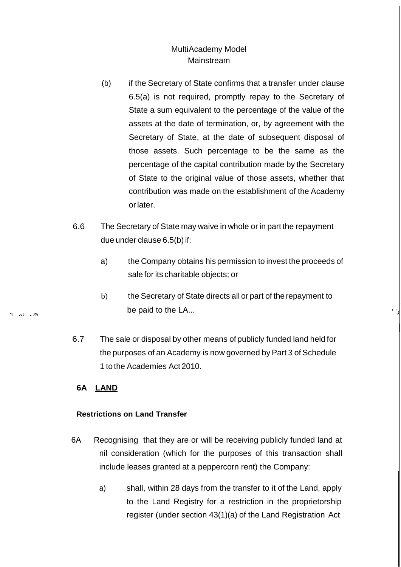- (b) if the Secretary of State confirms that a transfer under clause 6.5(a) is not required, promptly repay to the Secretary of State a sum equivalent to the percentage of the value of the assets at the date of termination, or, by agreement with the Secretary of State, at the date of subsequent disposal of those assets. Such percentage to be the same as the percentage of the capital contribution made by the Secretary of State to the original value of those assets, whether that contribution was made on the establishment of the Academy orlater.
- 6.6 The Secretary of State may waive in whole or in part the repayment due under clause 6.5(b) if:
	- a) the Company obtains his permission to invest the proceeds of sale for its charitable objects; or
	- b) the Secretary of State directs all or part of therepayment to be paid to the LA...

I ' ',d

I

6.7 The sale or disposal by other means of publicly funded land held for the purposes of an Academy is now governed by Part 3 of Schedule 1 to the Academies Act 2010.

## **6A LAND**

### **Restrictions on Land Transfer**

- 6A Recognising that they are or will be receiving publicly funded land at nil consideration (which for the purposes of this transaction shall include leases granted at a peppercorn rent) the Company:
	- a) shall, within 28 days from the transfer to it of the Land, apply to the Land Registry for a restriction in the proprietorship register (under section 43(1)(a) of the Land Registration Act

河 ぼれに収録